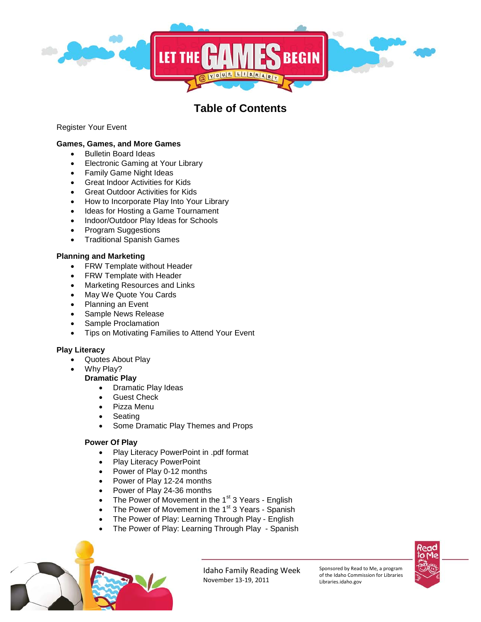

# **Table of Contents**

Register Your Event

# **Games, Games, and More Games**

- Bulletin Board Ideas
- Electronic Gaming at Your Library
- Family Game Night Ideas
- Great Indoor Activities for Kids
- Great Outdoor Activities for Kids
- How to Incorporate Play Into Your Library
- Ideas for Hosting a Game Tournament
- Indoor/Outdoor Play Ideas for Schools
- Program Suggestions
- Traditional Spanish Games

## **Planning and Marketing**

- FRW Template without Header
- FRW Template with Header
- Marketing Resources and Links
- May We Quote You Cards
- Planning an Event
- Sample News Release
- Sample Proclamation
- Tips on Motivating Families to Attend Your Event

## **Play Literacy**

- Quotes About Play
- Why Play?
- **Dramatic Play**
	- Dramatic Play Ideas
	- **Guest Check**
	- Pizza Menu
	- **Seating**
	- Some Dramatic Play Themes and Props

#### **Power Of Play**

- Play Literacy PowerPoint in .pdf format
- Play Literacy PowerPoint
- Power of Play 0-12 months
- Power of Play 12-24 months
- Power of Play 24-36 months
- The Power of Movement in the 1<sup>st</sup> 3 Years English
- The Power of Movement in the  $1<sup>st</sup>$  3 Years Spanish
- The Power of Play: Learning Through Play English
- The Power of Play: Learning Through Play Spanish



Idaho Family Reading Week November 13-19, 2011

Sponsored by Read to Me, a program of the Idaho Commission for Libraries Libraries.idaho.gov